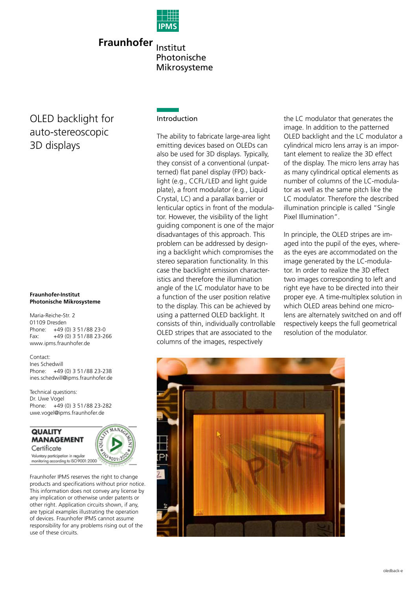

**Fraunhofer** Institut Photonische Mikrosysteme

# OLED backlight for auto-stereoscopic 3D displays

#### **Fraunhofer-Institut Photonische Mikrosysteme**

Maria-Reiche-Str. 2 01109 Dresden Phone: +49 (0) 3 51/88 23-0 Fax: +49 (0) 3 51/88 23-266 www.ipms.fraunhofer.de

Contact: Ines Schedwill Phone: +49 (0) 3 51/88 23-238 ines.schedwill@ipms.fraunhofer.de

Technical questions: Dr. Uwe Vogel Phone: +49 (0) 3 51/88 23-282 uwe.vogel@ipms.fraunhofer.de

**QUALITY MANAGEMENT** Certificate Voluntary participation in regular monitoring according to ISO 9001:2000

Fraunhofer IPMS reserves the right to change products and specifications without prior notice. This information does not convey any license by any implication or otherwise under patents or other right. Application circuits shown, if any, are typical examples illustrating the operation of devices. Fraunhofer IPMS cannot assume responsibility for any problems rising out of the use of these circuits.

## Introduction

The ability to fabricate large-area light emitting devices based on OLEDs can also be used for 3D displays. Typically, they consist of a conventional (unpatterned) flat panel display (FPD) backlight (e.g., CCFL/LED and light guide plate), a front modulator (e.g., Liquid Crystal, LC) and a parallax barrier or lenticular optics in front of the modulator. However, the visibility of the light guiding component is one of the major disadvantages of this approach. This problem can be addressed by designing a backlight which compromises the stereo separation functionality. In this case the backlight emission characteristics and therefore the illumination angle of the LC modulator have to be a function of the user position relative to the display. This can be achieved by using a patterned OLED backlight. It consists of thin, individually controllable OLED stripes that are associated to the columns of the images, respectively

the LC modulator that generates the image. In addition to the patterned OLED backlight and the LC modulator a cylindrical micro lens array is an important element to realize the 3D effect of the display. The micro lens array has as many cylindrical optical elements as number of columns of the LC-modulator as well as the same pitch like the LC modulator. Therefore the described illumination principle is called "Single Pixel Illumination".

In principle, the OLED stripes are imaged into the pupil of the eyes, whereas the eyes are accommodated on the image generated by the LC-modulator. In order to realize the 3D effect two images corresponding to left and right eye have to be directed into their proper eye. A time-multiplex solution in which OLED areas behind one microlens are alternately switched on and off respectively keeps the full geometrical resolution of the modulator.